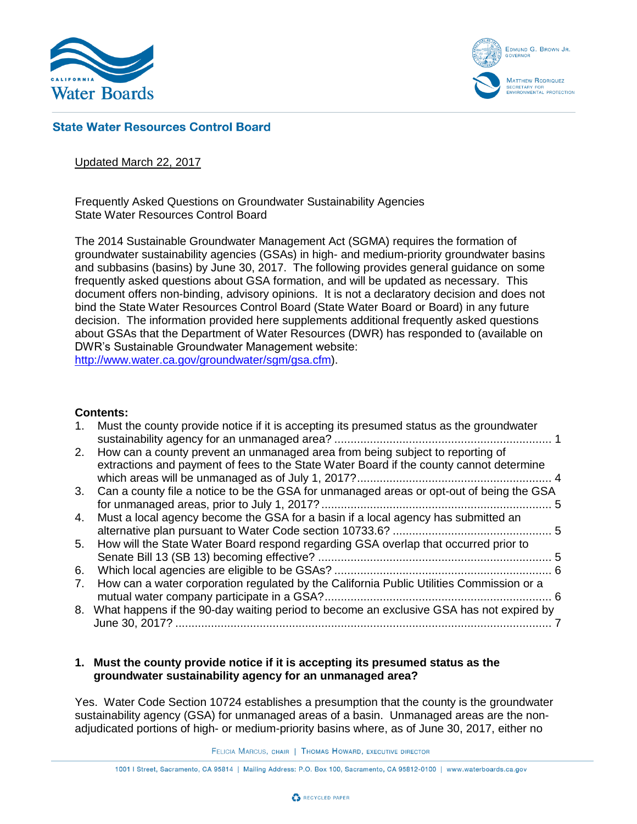



# **State Water Resources Control Board**

## Updated March 22, 2017

Frequently Asked Questions on Groundwater Sustainability Agencies State Water Resources Control Board

The 2014 Sustainable Groundwater Management Act (SGMA) requires the formation of groundwater sustainability agencies (GSAs) in high- and medium-priority groundwater basins and subbasins (basins) by June 30, 2017. The following provides general guidance on some frequently asked questions about GSA formation, and will be updated as necessary. This document offers non-binding, advisory opinions. It is not a declaratory decision and does not bind the State Water Resources Control Board (State Water Board or Board) in any future decision. The information provided here supplements additional frequently asked questions about GSAs that the Department of Water Resources (DWR) has responded to (available on DWR's Sustainable Groundwater Management website: [http://www.water.ca.gov/groundwater/sgm/gsa.cfm\)](http://www.water.ca.gov/groundwater/sgm/gsa.cfm).

### **Contents:**

|    | Must the county provide notice if it is accepting its presumed status as the groundwater                                                                                 |    |
|----|--------------------------------------------------------------------------------------------------------------------------------------------------------------------------|----|
|    |                                                                                                                                                                          |    |
| 2. | How can a county prevent an unmanaged area from being subject to reporting of<br>extractions and payment of fees to the State Water Board if the county cannot determine |    |
|    |                                                                                                                                                                          |    |
|    | 3. Can a county file a notice to be the GSA for unmanaged areas or opt-out of being the GSA                                                                              |    |
| 4. | Must a local agency become the GSA for a basin if a local agency has submitted an                                                                                        |    |
|    |                                                                                                                                                                          |    |
| 5. | How will the State Water Board respond regarding GSA overlap that occurred prior to                                                                                      |    |
| 6. |                                                                                                                                                                          | -6 |
| 7. | How can a water corporation regulated by the California Public Utilities Commission or a                                                                                 | 6  |
|    | 8. What happens if the 90-day waiting period to become an exclusive GSA has not expired by                                                                               |    |
|    |                                                                                                                                                                          |    |

## <span id="page-0-0"></span>**1. Must the county provide notice if it is accepting its presumed status as the groundwater sustainability agency for an unmanaged area?**

Yes. Water Code Section 10724 establishes a presumption that the county is the groundwater sustainability agency (GSA) for unmanaged areas of a basin. Unmanaged areas are the nonadjudicated portions of high- or medium-priority basins where, as of June 30, 2017, either no

FELICIA MARCUS, CHAIR | THOMAS HOWARD, EXECUTIVE DIRECTOR

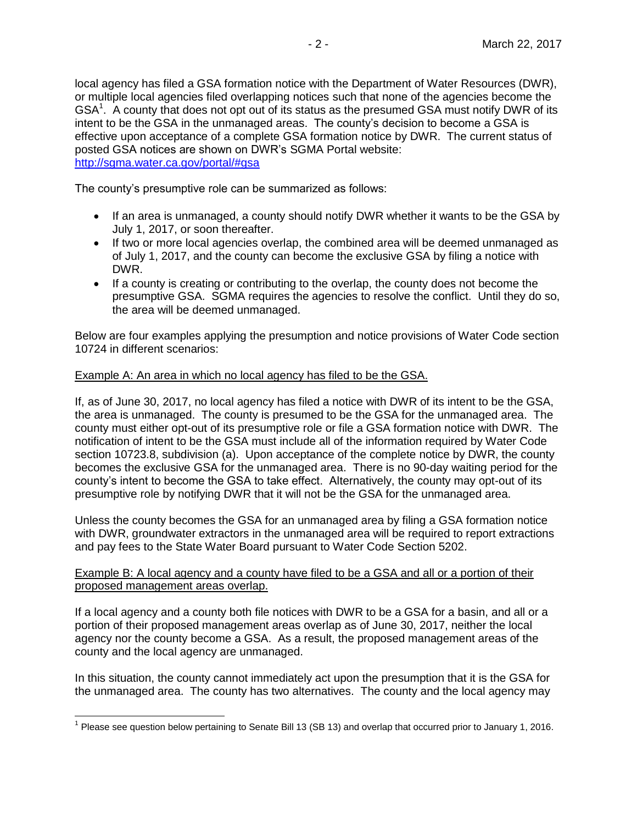local agency has filed a GSA formation notice with the Department of Water Resources (DWR), or multiple local agencies filed overlapping notices such that none of the agencies become the  $\textsf{GSA}^1$ . A county that does not opt out of its status as the presumed GSA must notify DWR of its intent to be the GSA in the unmanaged areas. The county's decision to become a GSA is effective upon acceptance of a complete GSA formation notice by DWR. The current status of posted GSA notices are shown on DWR's SGMA Portal website: <http://sgma.water.ca.gov/portal/#gsa>

The county's presumptive role can be summarized as follows:

- If an area is unmanaged, a county should notify DWR whether it wants to be the GSA by July 1, 2017, or soon thereafter.
- If two or more local agencies overlap, the combined area will be deemed unmanaged as of July 1, 2017, and the county can become the exclusive GSA by filing a notice with DWR.
- If a county is creating or contributing to the overlap, the county does not become the presumptive GSA. SGMA requires the agencies to resolve the conflict. Until they do so, the area will be deemed unmanaged.

Below are four examples applying the presumption and notice provisions of Water Code section 10724 in different scenarios:

## Example A: An area in which no local agency has filed to be the GSA.

If, as of June 30, 2017, no local agency has filed a notice with DWR of its intent to be the GSA, the area is unmanaged. The county is presumed to be the GSA for the unmanaged area. The county must either opt-out of its presumptive role or file a GSA formation notice with DWR. The notification of intent to be the GSA must include all of the information required by Water Code section 10723.8, subdivision (a). Upon acceptance of the complete notice by DWR, the county becomes the exclusive GSA for the unmanaged area. There is no 90-day waiting period for the county's intent to become the GSA to take effect. Alternatively, the county may opt-out of its presumptive role by notifying DWR that it will not be the GSA for the unmanaged area.

Unless the county becomes the GSA for an unmanaged area by filing a GSA formation notice with DWR, groundwater extractors in the unmanaged area will be required to report extractions and pay fees to the State Water Board pursuant to Water Code Section 5202.

## Example B: A local agency and a county have filed to be a GSA and all or a portion of their proposed management areas overlap.

If a local agency and a county both file notices with DWR to be a GSA for a basin, and all or a portion of their proposed management areas overlap as of June 30, 2017, neither the local agency nor the county become a GSA. As a result, the proposed management areas of the county and the local agency are unmanaged.

In this situation, the county cannot immediately act upon the presumption that it is the GSA for the unmanaged area. The county has two alternatives. The county and the local agency may

<sup>————————————————————&</sup>lt;br><sup>1</sup> Please see question below pertaining to Senate Bill 13 (SB 13) and overlap that occurred prior to January 1, 2016.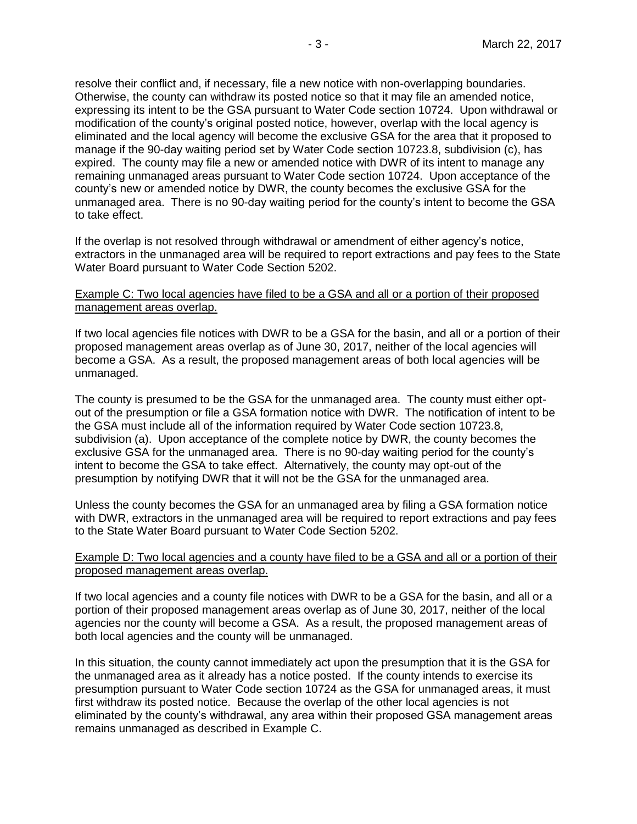resolve their conflict and, if necessary, file a new notice with non-overlapping boundaries. Otherwise, the county can withdraw its posted notice so that it may file an amended notice, expressing its intent to be the GSA pursuant to Water Code section 10724. Upon withdrawal or modification of the county's original posted notice, however, overlap with the local agency is eliminated and the local agency will become the exclusive GSA for the area that it proposed to manage if the 90-day waiting period set by Water Code section 10723.8, subdivision (c), has expired. The county may file a new or amended notice with DWR of its intent to manage any remaining unmanaged areas pursuant to Water Code section 10724. Upon acceptance of the county's new or amended notice by DWR, the county becomes the exclusive GSA for the unmanaged area. There is no 90-day waiting period for the county's intent to become the GSA to take effect.

If the overlap is not resolved through withdrawal or amendment of either agency's notice, extractors in the unmanaged area will be required to report extractions and pay fees to the State Water Board pursuant to Water Code Section 5202.

### Example C: Two local agencies have filed to be a GSA and all or a portion of their proposed management areas overlap.

If two local agencies file notices with DWR to be a GSA for the basin, and all or a portion of their proposed management areas overlap as of June 30, 2017, neither of the local agencies will become a GSA. As a result, the proposed management areas of both local agencies will be unmanaged.

The county is presumed to be the GSA for the unmanaged area. The county must either optout of the presumption or file a GSA formation notice with DWR. The notification of intent to be the GSA must include all of the information required by Water Code section 10723.8, subdivision (a). Upon acceptance of the complete notice by DWR, the county becomes the exclusive GSA for the unmanaged area. There is no 90-day waiting period for the county's intent to become the GSA to take effect. Alternatively, the county may opt-out of the presumption by notifying DWR that it will not be the GSA for the unmanaged area.

Unless the county becomes the GSA for an unmanaged area by filing a GSA formation notice with DWR, extractors in the unmanaged area will be required to report extractions and pay fees to the State Water Board pursuant to Water Code Section 5202.

## Example D: Two local agencies and a county have filed to be a GSA and all or a portion of their proposed management areas overlap.

If two local agencies and a county file notices with DWR to be a GSA for the basin, and all or a portion of their proposed management areas overlap as of June 30, 2017, neither of the local agencies nor the county will become a GSA. As a result, the proposed management areas of both local agencies and the county will be unmanaged.

In this situation, the county cannot immediately act upon the presumption that it is the GSA for the unmanaged area as it already has a notice posted. If the county intends to exercise its presumption pursuant to Water Code section 10724 as the GSA for unmanaged areas, it must first withdraw its posted notice. Because the overlap of the other local agencies is not eliminated by the county's withdrawal, any area within their proposed GSA management areas remains unmanaged as described in Example C.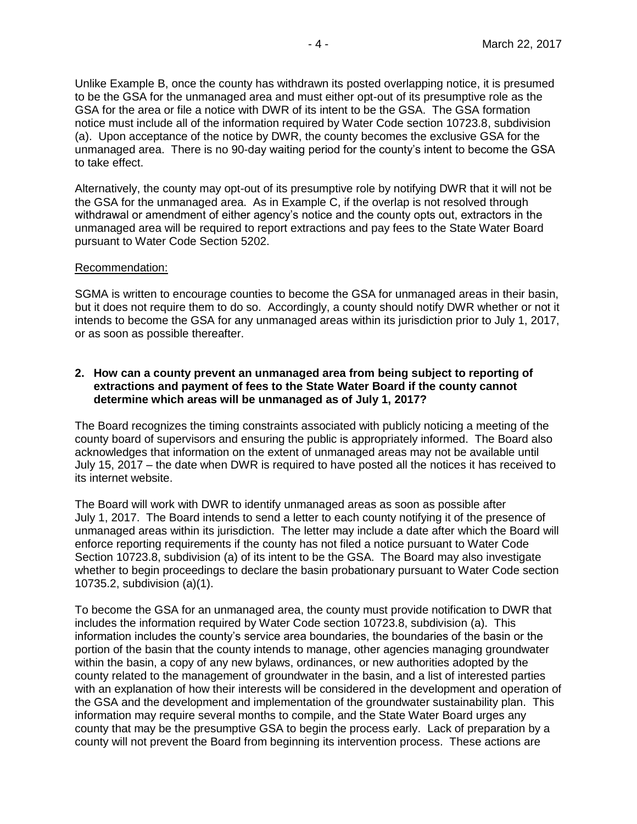Unlike Example B, once the county has withdrawn its posted overlapping notice, it is presumed to be the GSA for the unmanaged area and must either opt-out of its presumptive role as the GSA for the area or file a notice with DWR of its intent to be the GSA. The GSA formation notice must include all of the information required by Water Code section 10723.8, subdivision (a). Upon acceptance of the notice by DWR, the county becomes the exclusive GSA for the unmanaged area. There is no 90-day waiting period for the county's intent to become the GSA to take effect.

Alternatively, the county may opt-out of its presumptive role by notifying DWR that it will not be the GSA for the unmanaged area. As in Example C, if the overlap is not resolved through withdrawal or amendment of either agency's notice and the county opts out, extractors in the unmanaged area will be required to report extractions and pay fees to the State Water Board pursuant to Water Code Section 5202.

#### Recommendation:

SGMA is written to encourage counties to become the GSA for unmanaged areas in their basin, but it does not require them to do so. Accordingly, a county should notify DWR whether or not it intends to become the GSA for any unmanaged areas within its jurisdiction prior to July 1, 2017, or as soon as possible thereafter.

## <span id="page-3-0"></span>**2. How can a county prevent an unmanaged area from being subject to reporting of extractions and payment of fees to the State Water Board if the county cannot determine which areas will be unmanaged as of July 1, 2017?**

The Board recognizes the timing constraints associated with publicly noticing a meeting of the county board of supervisors and ensuring the public is appropriately informed. The Board also acknowledges that information on the extent of unmanaged areas may not be available until July 15, 2017 – the date when DWR is required to have posted all the notices it has received to its internet website.

The Board will work with DWR to identify unmanaged areas as soon as possible after July 1, 2017. The Board intends to send a letter to each county notifying it of the presence of unmanaged areas within its jurisdiction. The letter may include a date after which the Board will enforce reporting requirements if the county has not filed a notice pursuant to Water Code Section 10723.8, subdivision (a) of its intent to be the GSA. The Board may also investigate whether to begin proceedings to declare the basin probationary pursuant to Water Code section 10735.2, subdivision (a)(1).

To become the GSA for an unmanaged area, the county must provide notification to DWR that includes the information required by Water Code section 10723.8, subdivision (a). This information includes the county's service area boundaries, the boundaries of the basin or the portion of the basin that the county intends to manage, other agencies managing groundwater within the basin, a copy of any new bylaws, ordinances, or new authorities adopted by the county related to the management of groundwater in the basin, and a list of interested parties with an explanation of how their interests will be considered in the development and operation of the GSA and the development and implementation of the groundwater sustainability plan. This information may require several months to compile, and the State Water Board urges any county that may be the presumptive GSA to begin the process early. Lack of preparation by a county will not prevent the Board from beginning its intervention process. These actions are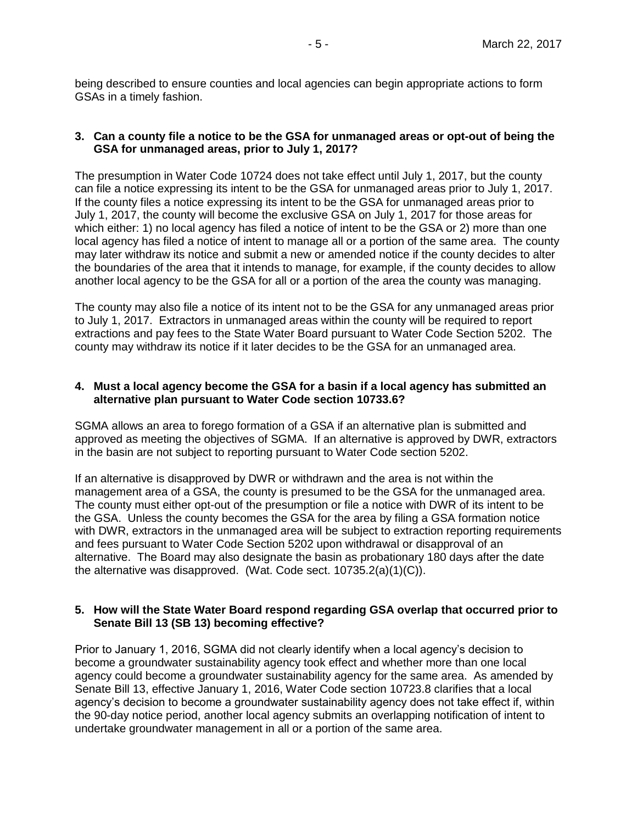being described to ensure counties and local agencies can begin appropriate actions to form GSAs in a timely fashion.

#### <span id="page-4-0"></span>**3. Can a county file a notice to be the GSA for unmanaged areas or opt-out of being the GSA for unmanaged areas, prior to July 1, 2017?**

The presumption in Water Code 10724 does not take effect until July 1, 2017, but the county can file a notice expressing its intent to be the GSA for unmanaged areas prior to July 1, 2017. If the county files a notice expressing its intent to be the GSA for unmanaged areas prior to July 1, 2017, the county will become the exclusive GSA on July 1, 2017 for those areas for which either: 1) no local agency has filed a notice of intent to be the GSA or 2) more than one local agency has filed a notice of intent to manage all or a portion of the same area. The county may later withdraw its notice and submit a new or amended notice if the county decides to alter the boundaries of the area that it intends to manage, for example, if the county decides to allow another local agency to be the GSA for all or a portion of the area the county was managing.

The county may also file a notice of its intent not to be the GSA for any unmanaged areas prior to July 1, 2017. Extractors in unmanaged areas within the county will be required to report extractions and pay fees to the State Water Board pursuant to Water Code Section 5202. The county may withdraw its notice if it later decides to be the GSA for an unmanaged area.

### <span id="page-4-1"></span>**4. Must a local agency become the GSA for a basin if a local agency has submitted an alternative plan pursuant to Water Code section 10733.6?**

SGMA allows an area to forego formation of a GSA if an alternative plan is submitted and approved as meeting the objectives of SGMA. If an alternative is approved by DWR, extractors in the basin are not subject to reporting pursuant to Water Code section 5202.

If an alternative is disapproved by DWR or withdrawn and the area is not within the management area of a GSA, the county is presumed to be the GSA for the unmanaged area. The county must either opt-out of the presumption or file a notice with DWR of its intent to be the GSA. Unless the county becomes the GSA for the area by filing a GSA formation notice with DWR, extractors in the unmanaged area will be subject to extraction reporting requirements and fees pursuant to Water Code Section 5202 upon withdrawal or disapproval of an alternative. The Board may also designate the basin as probationary 180 days after the date the alternative was disapproved. (Wat. Code sect. 10735.2(a)(1)(C)).

## <span id="page-4-2"></span>**5. How will the State Water Board respond regarding GSA overlap that occurred prior to Senate Bill 13 (SB 13) becoming effective?**

Prior to January 1, 2016, SGMA did not clearly identify when a local agency's decision to become a groundwater sustainability agency took effect and whether more than one local agency could become a groundwater sustainability agency for the same area. As amended by Senate Bill 13, effective January 1, 2016, Water Code section 10723.8 clarifies that a local agency's decision to become a groundwater sustainability agency does not take effect if, within the 90-day notice period, another local agency submits an overlapping notification of intent to undertake groundwater management in all or a portion of the same area.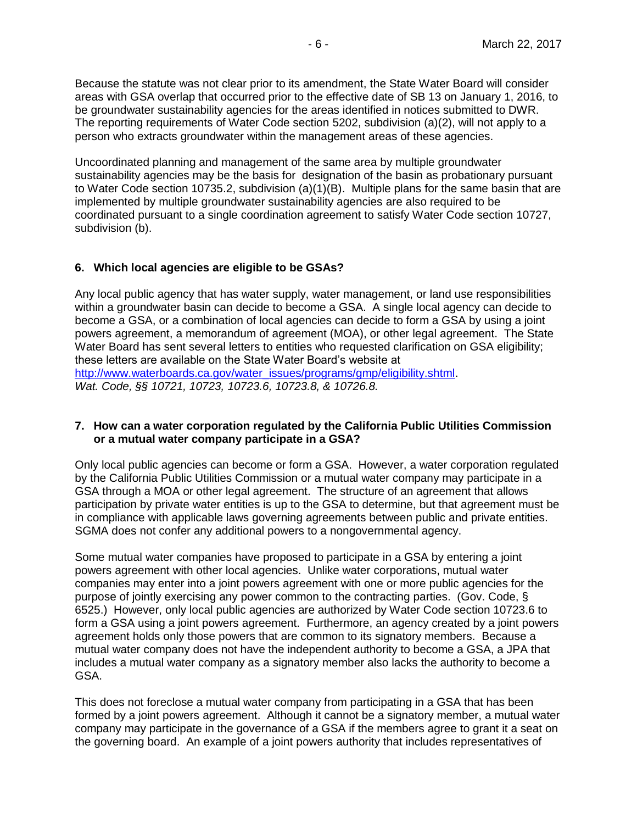Because the statute was not clear prior to its amendment, the State Water Board will consider areas with GSA overlap that occurred prior to the effective date of SB 13 on January 1, 2016, to be groundwater sustainability agencies for the areas identified in notices submitted to DWR. The reporting requirements of Water Code section 5202, subdivision (a)(2), will not apply to a person who extracts groundwater within the management areas of these agencies.

Uncoordinated planning and management of the same area by multiple groundwater sustainability agencies may be the basis for designation of the basin as probationary pursuant to Water Code section 10735.2, subdivision (a)(1)(B). Multiple plans for the same basin that are implemented by multiple groundwater sustainability agencies are also required to be coordinated pursuant to a single coordination agreement to satisfy Water Code section 10727, subdivision (b).

## <span id="page-5-0"></span>**6. Which local agencies are eligible to be GSAs?**

Any local public agency that has water supply, water management, or land use responsibilities within a groundwater basin can decide to become a GSA. A single local agency can decide to become a GSA, or a combination of local agencies can decide to form a GSA by using a joint powers agreement, a memorandum of agreement (MOA), or other legal agreement. The State Water Board has sent several letters to entities who requested clarification on GSA eligibility; these letters are available on the State Water Board's website at [http://www.waterboards.ca.gov/water\\_issues/programs/gmp/eligibility.shtml.](http://www.waterboards.ca.gov/water_issues/programs/gmp/eligibility.shtml) *Wat. Code, §§ 10721, 10723, 10723.6, 10723.8, & 10726.8.* 

### <span id="page-5-1"></span>**7. How can a water corporation regulated by the California Public Utilities Commission or a mutual water company participate in a GSA?**

Only local public agencies can become or form a GSA. However, a water corporation regulated by the California Public Utilities Commission or a mutual water company may participate in a GSA through a MOA or other legal agreement. The structure of an agreement that allows participation by private water entities is up to the GSA to determine, but that agreement must be in compliance with applicable laws governing agreements between public and private entities. SGMA does not confer any additional powers to a nongovernmental agency.

Some mutual water companies have proposed to participate in a GSA by entering a joint powers agreement with other local agencies. Unlike water corporations, mutual water companies may enter into a joint powers agreement with one or more public agencies for the purpose of jointly exercising any power common to the contracting parties. (Gov. Code, § 6525.) However, only local public agencies are authorized by Water Code section 10723.6 to form a GSA using a joint powers agreement. Furthermore, an agency created by a joint powers agreement holds only those powers that are common to its signatory members. Because a mutual water company does not have the independent authority to become a GSA, a JPA that includes a mutual water company as a signatory member also lacks the authority to become a GSA.

This does not foreclose a mutual water company from participating in a GSA that has been formed by a joint powers agreement. Although it cannot be a signatory member, a mutual water company may participate in the governance of a GSA if the members agree to grant it a seat on the governing board. An example of a joint powers authority that includes representatives of